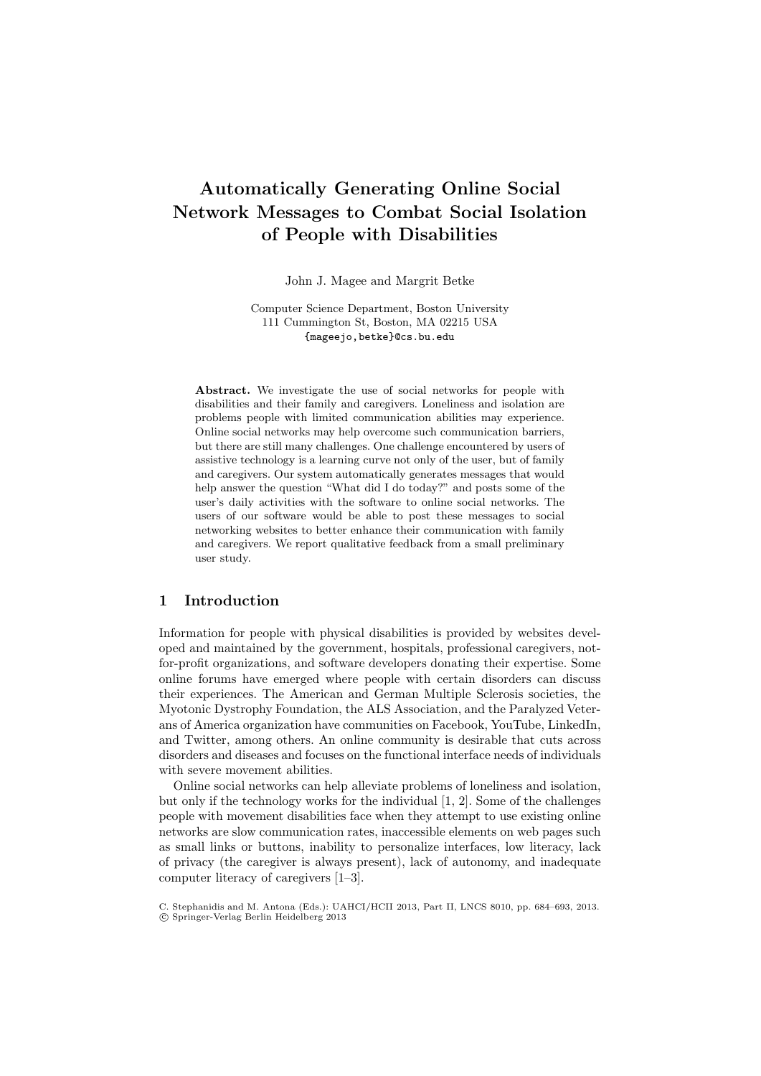# **Automatically Generating Online Social Network Messages to Combat Social Isolation of People with Disabilities**

John J. Magee and Margrit Betke

Computer Science Department, Boston University 111 Cummington St, Boston, MA 02215 USA {mageejo,betke}@cs.bu.edu

**Abstract.** We investigate the use of social networks for people with disabilities and their family and caregivers. Loneliness and isolation are problems people with limited communication abilities may experience. Online social networks may help overcome such communication barriers, but there are still many challenges. One challenge encountered by users of assistive technology is a learning curve not only of the user, but of family and caregivers. Our system automatically generates messages that would help answer the question "What did I do today?" and posts some of the user's daily activities with the software to online social networks. The users of our software would be able to post these messages to social networking websites to better enhance their communication with family and caregivers. We report qualitative feedback from a small preliminary user study.

# **1 Introduction**

Information for people with physical disabilities is provided by websites developed and maintained by the government, hospitals, professional caregivers, notfor-profit organizations, and software developers donating their expertise. Some online forums have emerged where people with certain disorders can discuss their experiences. The American and German Multiple Sclerosis societies, the Myotonic Dystrophy Foundation, the ALS Association, and the Paralyzed Veterans of America organization have communities on Facebook, YouTube, LinkedIn, and Twitter, among others. An online community is desirable that cuts across disorders and diseases and focuses on the functional interface needs of individuals with severe movement abilities.

Online social networks can help alleviate problems of loneliness and isolation, but only if the technology works for the individual [1, 2]. Some of the challenges people with movement disabilities face when they attempt to use existing online networks are slow communication rates, inaccessible elements on web pages such as small links or buttons, inability to personalize interfaces, low literacy, lack of privacy (the caregiver is always present), lack of autonomy, and inadequate computer literacy of caregivers [1–3].

C. Stephanidis and M. Antona (Eds.): UAHCI/HCII 2013, Part II, LNCS 8010, pp. 684–693, 2013. -c Springer-Verlag Berlin Heidelberg 2013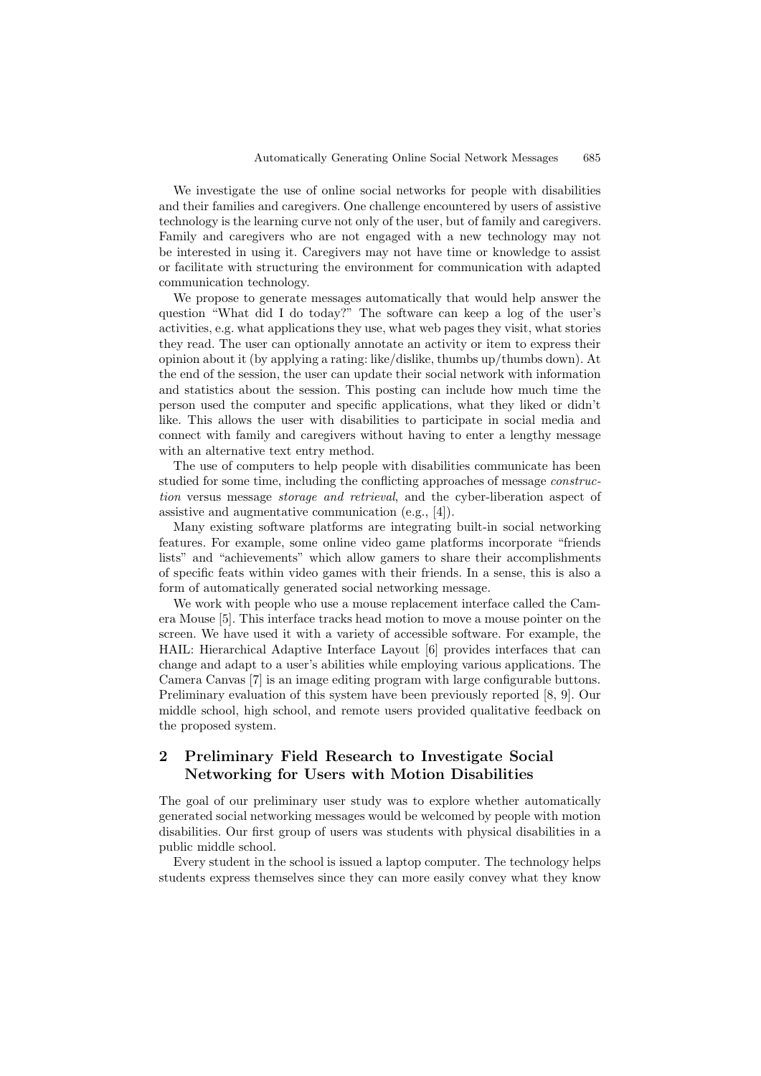We investigate the use of online social networks for people with disabilities and their families and caregivers. One challenge encountered by users of assistive technology is the learning curve not only of the user, but of family and caregivers. Family and caregivers who are not engaged with a new technology may not be interested in using it. Caregivers may not have time or knowledge to assist or facilitate with structuring the environment for communication with adapted communication technology.

We propose to generate messages automatically that would help answer the question "What did I do today?" The software can keep a log of the user's activities, e.g. what applications they use, what web pages they visit, what stories they read. The user can optionally annotate an activity or item to express their opinion about it (by applying a rating: like/dislike, thumbs up/thumbs down). At the end of the session, the user can update their social network with information and statistics about the session. This posting can include how much time the person used the computer and specific applications, what they liked or didn't like. This allows the user with disabilities to participate in social media and connect with family and caregivers without having to enter a lengthy message with an alternative text entry method.

The use of computers to help people with disabilities communicate has been studied for some time, including the conflicting approaches of message *construction* versus message *storage and retrieval*, and the cyber-liberation aspect of assistive and augmentative communication (e.g., [4]).

Many existing software platforms are integrating built-in social networking features. For example, some online video game platforms incorporate "friends lists" and "achievements" which allow gamers to share their accomplishments of specific feats within video games with their friends. In a sense, this is also a form of automatically generated social networking message.

We work with people who use a mouse replacement interface called the Camera Mouse [5]. This interface tracks head motion to move a mouse pointer on the screen. We have used it with a variety of accessible software. For example, the HAIL: Hierarchical Adaptive Interface Layout [6] provides interfaces that can change and adapt to a user's abilities while employing various applications. The Camera Canvas [7] is an image editing program with large configurable buttons. Preliminary evaluation of this system have been previously reported [8, 9]. Our middle school, high school, and remote users provided qualitative feedback on the proposed system.

# **2 Preliminary Field Research to Investigate Social Networking for Users with Motion Disabilities**

The goal of our preliminary user study was to explore whether automatically generated social networking messages would be welcomed by people with motion disabilities. Our first group of users was students with physical disabilities in a public middle school.

Every student in the school is issued a laptop computer. The technology helps students express themselves since they can more easily convey what they know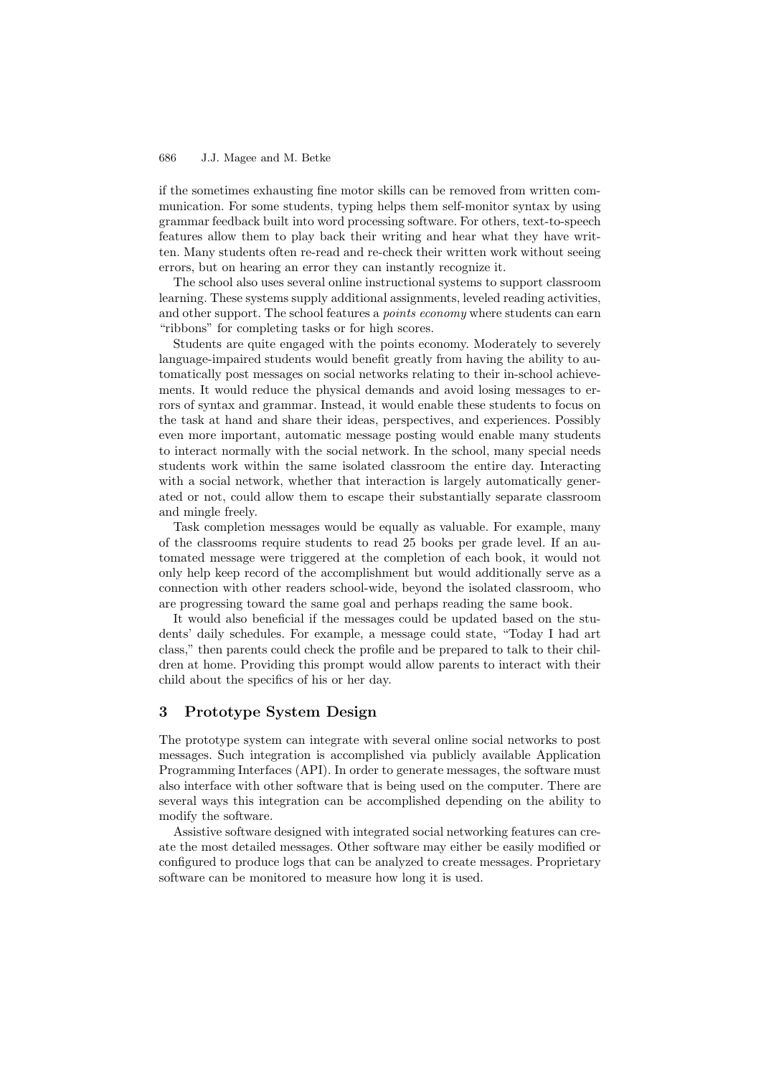if the sometimes exhausting fine motor skills can be removed from written communication. For some students, typing helps them self-monitor syntax by using grammar feedback built into word processing software. For others, text-to-speech features allow them to play back their writing and hear what they have written. Many students often re-read and re-check their written work without seeing errors, but on hearing an error they can instantly recognize it.

The school also uses several online instructional systems to support classroom learning. These systems supply additional assignments, leveled reading activities, and other support. The school features a *points economy* where students can earn "ribbons" for completing tasks or for high scores.

Students are quite engaged with the points economy. Moderately to severely language-impaired students would benefit greatly from having the ability to automatically post messages on social networks relating to their in-school achievements. It would reduce the physical demands and avoid losing messages to errors of syntax and grammar. Instead, it would enable these students to focus on the task at hand and share their ideas, perspectives, and experiences. Possibly even more important, automatic message posting would enable many students to interact normally with the social network. In the school, many special needs students work within the same isolated classroom the entire day. Interacting with a social network, whether that interaction is largely automatically generated or not, could allow them to escape their substantially separate classroom and mingle freely.

Task completion messages would be equally as valuable. For example, many of the classrooms require students to read 25 books per grade level. If an automated message were triggered at the completion of each book, it would not only help keep record of the accomplishment but would additionally serve as a connection with other readers school-wide, beyond the isolated classroom, who are progressing toward the same goal and perhaps reading the same book.

It would also beneficial if the messages could be updated based on the students' daily schedules. For example, a message could state, "Today I had art class," then parents could check the profile and be prepared to talk to their children at home. Providing this prompt would allow parents to interact with their child about the specifics of his or her day.

## **3 Prototype System Design**

The prototype system can integrate with several online social networks to post messages. Such integration is accomplished via publicly available Application Programming Interfaces (API). In order to generate messages, the software must also interface with other software that is being used on the computer. There are several ways this integration can be accomplished depending on the ability to modify the software.

Assistive software designed with integrated social networking features can create the most detailed messages. Other software may either be easily modified or configured to produce logs that can be analyzed to create messages. Proprietary software can be monitored to measure how long it is used.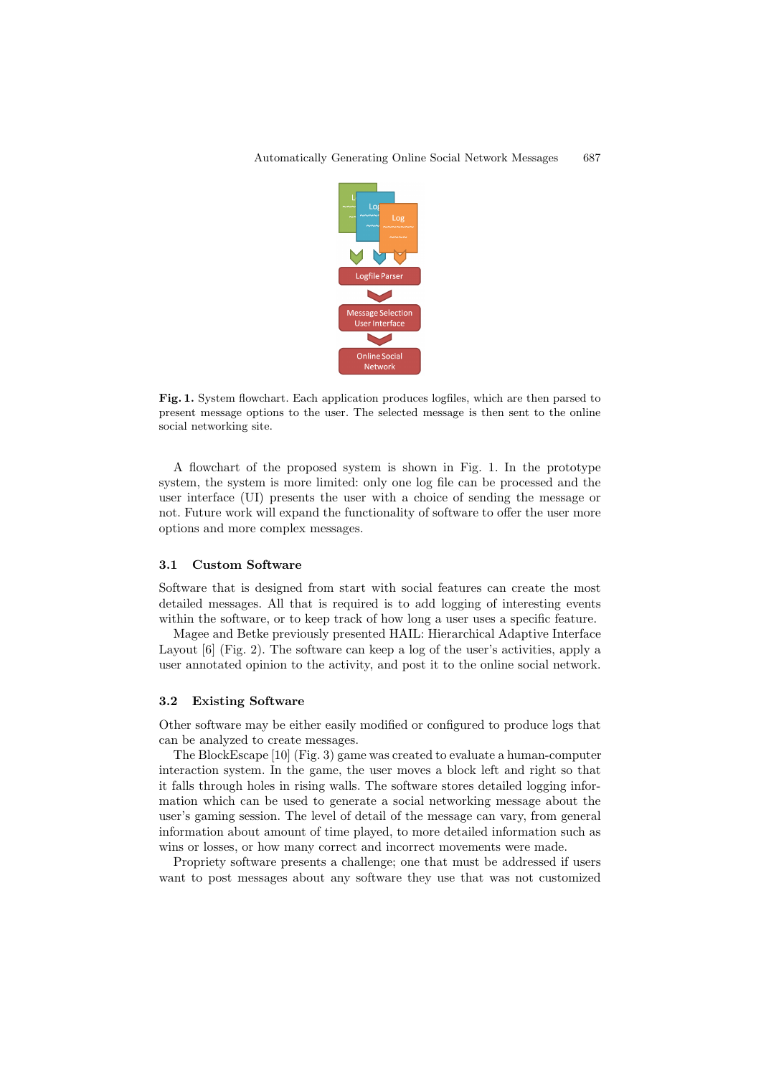

Fig. 1. System flowchart. Each application produces logfiles, which are then parsed to present message options to the user. The selected message is then sent to the online social networking site.

A flowchart of the proposed system is shown in Fig. 1. In the prototype system, the system is more limited: only one log file can be processed and the user interface (UI) presents the user with a choice of sending the message or not. Future work will expand the functionality of software to offer the user more options and more complex messages.

#### **3.1 Custom Software**

Software that is designed from start with social features can create the most detailed messages. All that is required is to add logging of interesting events within the software, or to keep track of how long a user uses a specific feature.

Magee and Betke previously presented HAIL: Hierarchical Adaptive Interface Layout [6] (Fig. 2). The software can keep a log of the user's activities, apply a user annotated opinion to the activity, and post it to the online social network.

#### **3.2 Existing Software**

Other software may be either easily modified or configured to produce logs that can be analyzed to create messages.

The BlockEscape [10] (Fig. 3) game was created to evaluate a human-computer interaction system. In the game, the user moves a block left and right so that it falls through holes in rising walls. The software stores detailed logging information which can be used to generate a social networking message about the user's gaming session. The level of detail of the message can vary, from general information about amount of time played, to more detailed information such as wins or losses, or how many correct and incorrect movements were made.

Propriety software presents a challenge; one that must be addressed if users want to post messages about any software they use that was not customized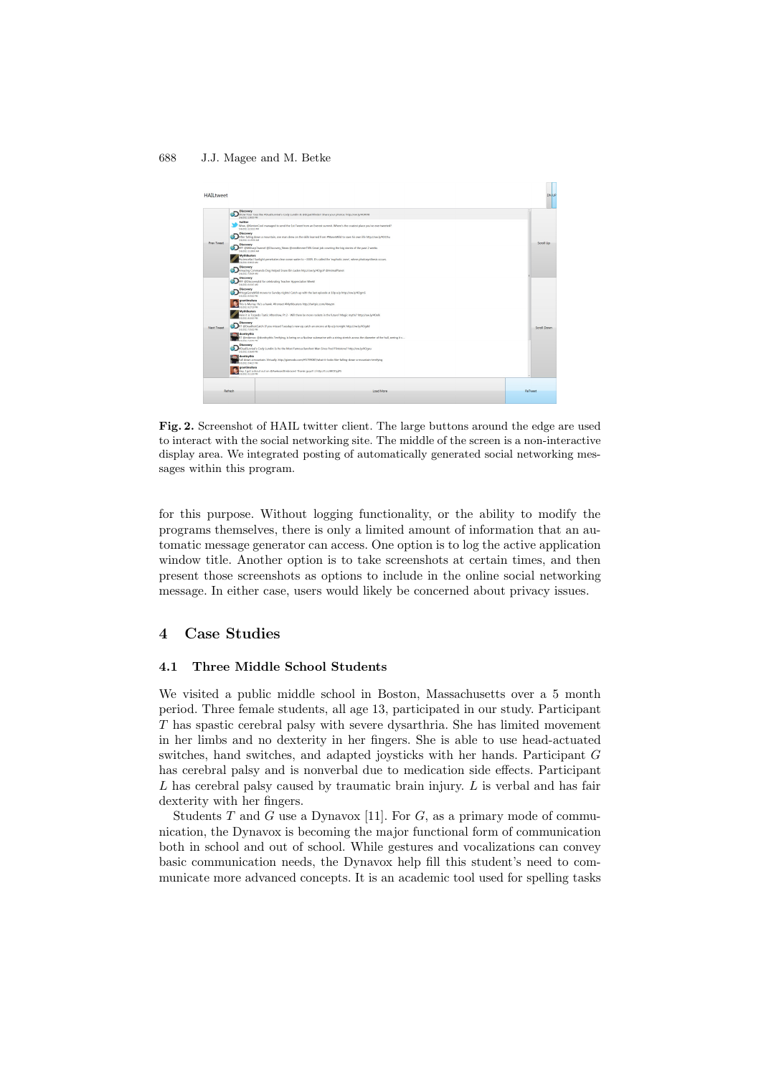

**Fig. 2.** Screenshot of HAIL twitter client. The large buttons around the edge are used to interact with the social networking site. The middle of the screen is a non-interactive display area. We integrated posting of automatically generated social networking messages within this program.

for this purpose. Without logging functionality, or the ability to modify the programs themselves, there is only a limited amount of information that an automatic message generator can access. One option is to log the active application window title. Another option is to take screenshots at certain times, and then present those screenshots as options to include in the online social networking message. In either case, users would likely be concerned about privacy issues.

## **4 Case Studies**

#### **4.1 Three Middle School Students**

We visited a public middle school in Boston, Massachusetts over a 5 month period. Three female students, all age 13, participated in our study. Participant *T* has spastic cerebral palsy with severe dysarthria. She has limited movement in her limbs and no dexterity in her fingers. She is able to use head-actuated switches, hand switches, and adapted joysticks with her hands. Participant *G* has cerebral palsy and is nonverbal due to medication side effects. Participant *L* has cerebral palsy caused by traumatic brain injury. *L* is verbal and has fair dexterity with her fingers.

Students *T* and *G* use a Dynavox [11]. For *G*, as a primary mode of communication, the Dynavox is becoming the major functional form of communication both in school and out of school. While gestures and vocalizations can convey basic communication needs, the Dynavox help fill this student's need to communicate more advanced concepts. It is an academic tool used for spelling tasks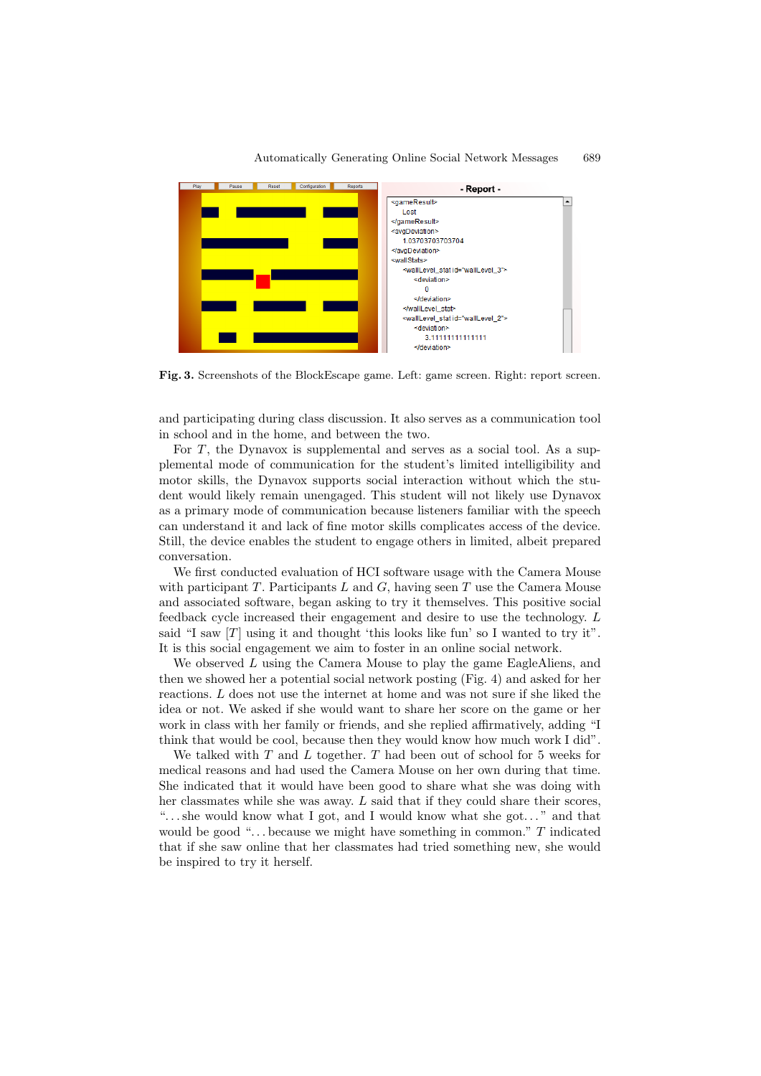

**Fig. 3.** Screenshots of the BlockEscape game. Left: game screen. Right: report screen.

and participating during class discussion. It also serves as a communication tool in school and in the home, and between the two.

For *T*, the Dynavox is supplemental and serves as a social tool. As a supplemental mode of communication for the student's limited intelligibility and motor skills, the Dynavox supports social interaction without which the student would likely remain unengaged. This student will not likely use Dynavox as a primary mode of communication because listeners familiar with the speech can understand it and lack of fine motor skills complicates access of the device. Still, the device enables the student to engage others in limited, albeit prepared conversation.

We first conducted evaluation of HCI software usage with the Camera Mouse with participant *T* . Participants *L* and *G*, having seen *T* use the Camera Mouse and associated software, began asking to try it themselves. This positive social feedback cycle increased their engagement and desire to use the technology. *L* said "I saw  $[T]$  using it and thought 'this looks like fun' so I wanted to try it". It is this social engagement we aim to foster in an online social network.

We observed *L* using the Camera Mouse to play the game EagleAliens, and then we showed her a potential social network posting (Fig. 4) and asked for her reactions. *L* does not use the internet at home and was not sure if she liked the idea or not. We asked if she would want to share her score on the game or her work in class with her family or friends, and she replied affirmatively, adding "I think that would be cool, because then they would know how much work I did".

We talked with *T* and *L* together. *T* had been out of school for 5 weeks for medical reasons and had used the Camera Mouse on her own during that time. She indicated that it would have been good to share what she was doing with her classmates while she was away. *L* said that if they could share their scores, ". . . she would know what I got, and I would know what she got. . . " and that would be good "... because we might have something in common." *T* indicated that if she saw online that her classmates had tried something new, she would be inspired to try it herself.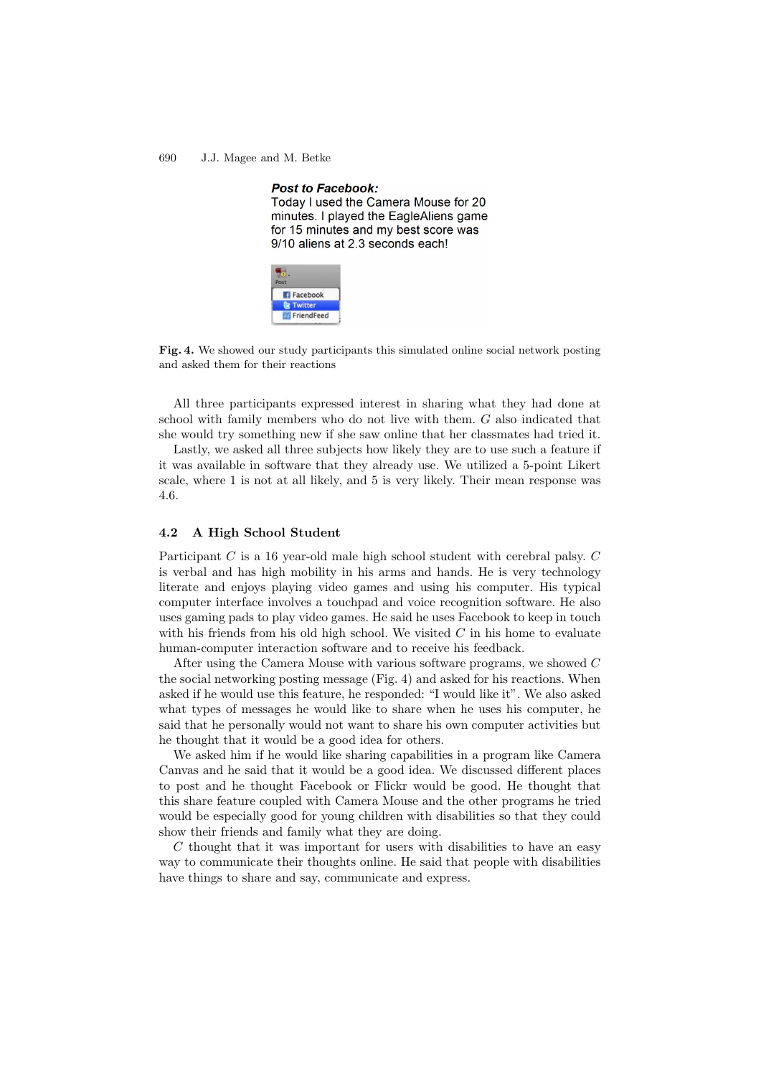# **Post to Facebook:**

Today I used the Camera Mouse for 20 minutes. I played the EagleAliens game for 15 minutes and my best score was 9/10 aliens at 2.3 seconds each!



**Fig. 4.** We showed our study participants this simulated online social network posting and asked them for their reactions

All three participants expressed interest in sharing what they had done at school with family members who do not live with them. *G* also indicated that she would try something new if she saw online that her classmates had tried it.

Lastly, we asked all three subjects how likely they are to use such a feature if it was available in software that they already use. We utilized a 5-point Likert scale, where 1 is not at all likely, and 5 is very likely. Their mean response was 4.6.

## **4.2 A High School Student**

Participant *C* is a 16 year-old male high school student with cerebral palsy. *C* is verbal and has high mobility in his arms and hands. He is very technology literate and enjoys playing video games and using his computer. His typical computer interface involves a touchpad and voice recognition software. He also uses gaming pads to play video games. He said he uses Facebook to keep in touch with his friends from his old high school. We visited *C* in his home to evaluate human-computer interaction software and to receive his feedback.

After using the Camera Mouse with various software programs, we showed *C* the social networking posting message (Fig. 4) and asked for his reactions. When asked if he would use this feature, he responded: "I would like it". We also asked what types of messages he would like to share when he uses his computer, he said that he personally would not want to share his own computer activities but he thought that it would be a good idea for others.

We asked him if he would like sharing capabilities in a program like Camera Canvas and he said that it would be a good idea. We discussed different places to post and he thought Facebook or Flickr would be good. He thought that this share feature coupled with Camera Mouse and the other programs he tried would be especially good for young children with disabilities so that they could show their friends and family what they are doing.

*C* thought that it was important for users with disabilities to have an easy way to communicate their thoughts online. He said that people with disabilities have things to share and say, communicate and express.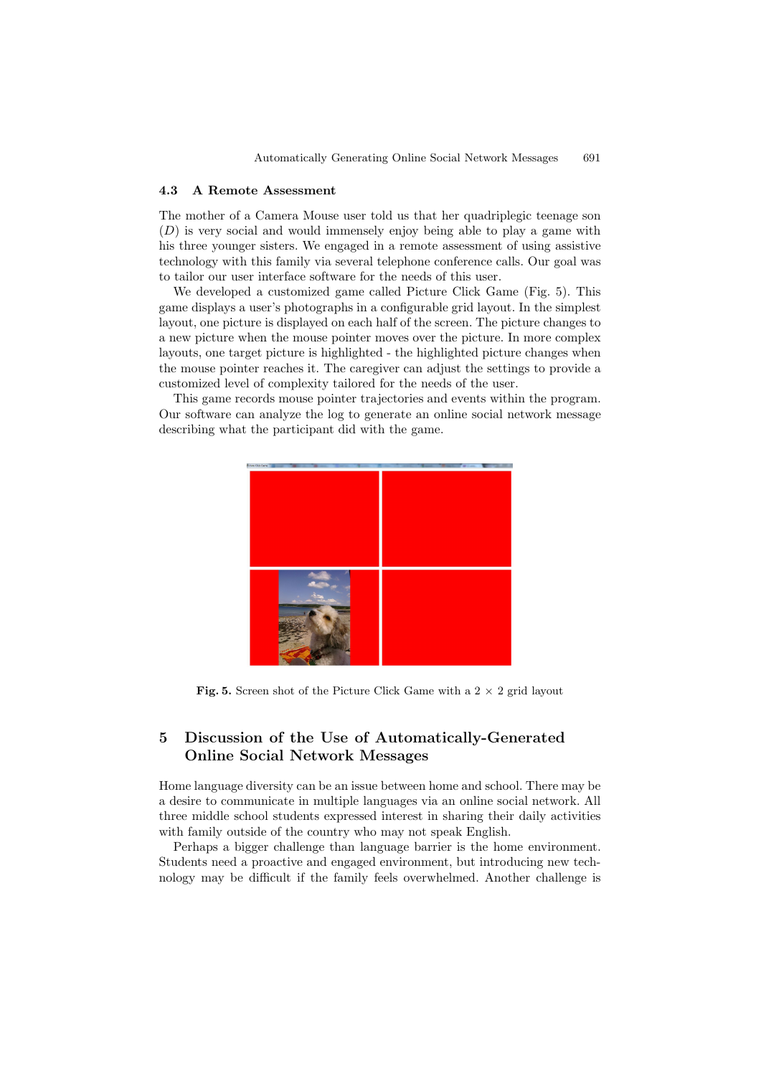#### **4.3 A Remote Assessment**

The mother of a Camera Mouse user told us that her quadriplegic teenage son (*D*) is very social and would immensely enjoy being able to play a game with his three younger sisters. We engaged in a remote assessment of using assistive technology with this family via several telephone conference calls. Our goal was to tailor our user interface software for the needs of this user.

We developed a customized game called Picture Click Game (Fig. 5). This game displays a user's photographs in a configurable grid layout. In the simplest layout, one picture is displayed on each half of the screen. The picture changes to a new picture when the mouse pointer moves over the picture. In more complex layouts, one target picture is highlighted - the highlighted picture changes when the mouse pointer reaches it. The caregiver can adjust the settings to provide a customized level of complexity tailored for the needs of the user.

This game records mouse pointer trajectories and events within the program. Our software can analyze the log to generate an online social network message describing what the participant did with the game.



**Fig. 5.** Screen shot of the Picture Click Game with a  $2 \times 2$  grid layout

# **5 Discussion of the Use of Automatically-Generated Online Social Network Messages**

Home language diversity can be an issue between home and school. There may be a desire to communicate in multiple languages via an online social network. All three middle school students expressed interest in sharing their daily activities with family outside of the country who may not speak English.

Perhaps a bigger challenge than language barrier is the home environment. Students need a proactive and engaged environment, but introducing new technology may be difficult if the family feels overwhelmed. Another challenge is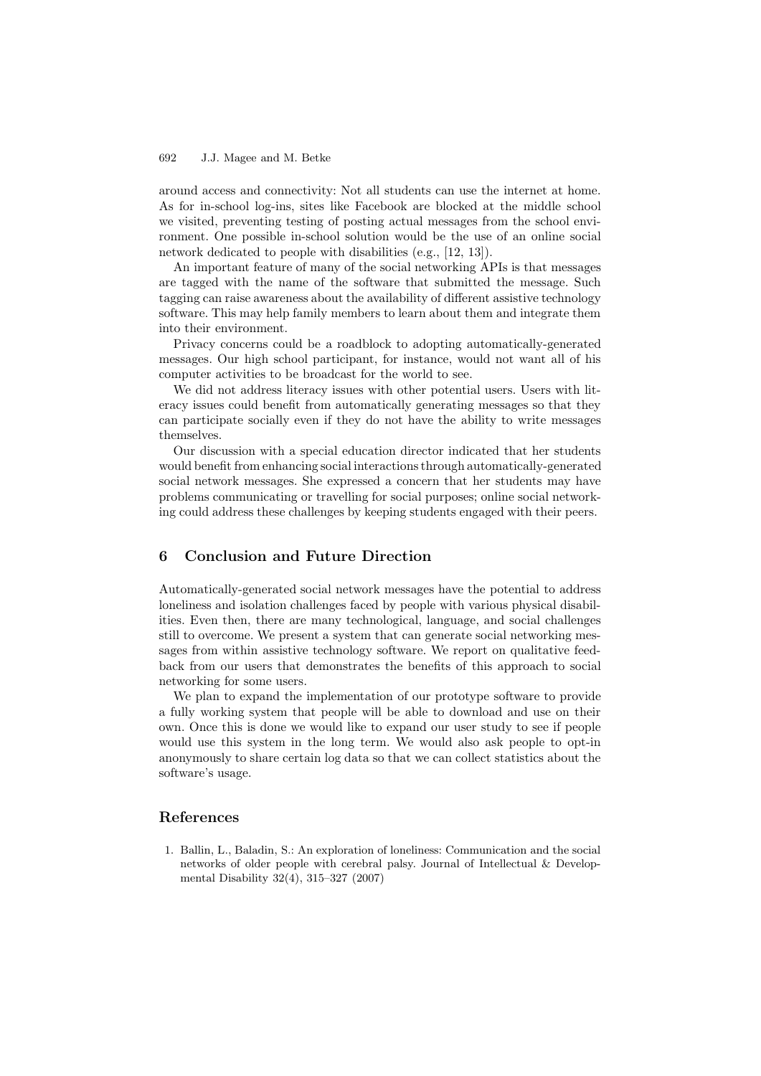around access and connectivity: Not all students can use the internet at home. As for in-school log-ins, sites like Facebook are blocked at the middle school we visited, preventing testing of posting actual messages from the school environment. One possible in-school solution would be the use of an online social network dedicated to people with disabilities (e.g., [12, 13]).

An important feature of many of the social networking APIs is that messages are tagged with the name of the software that submitted the message. Such tagging can raise awareness about the availability of different assistive technology software. This may help family members to learn about them and integrate them into their environment.

Privacy concerns could be a roadblock to adopting automatically-generated messages. Our high school participant, for instance, would not want all of his computer activities to be broadcast for the world to see.

We did not address literacy issues with other potential users. Users with literacy issues could benefit from automatically generating messages so that they can participate socially even if they do not have the ability to write messages themselves.

Our discussion with a special education director indicated that her students would benefit from enhancing social interactions through automatically-generated social network messages. She expressed a concern that her students may have problems communicating or travelling for social purposes; online social networking could address these challenges by keeping students engaged with their peers.

# **6 Conclusion and Future Direction**

Automatically-generated social network messages have the potential to address loneliness and isolation challenges faced by people with various physical disabilities. Even then, there are many technological, language, and social challenges still to overcome. We present a system that can generate social networking messages from within assistive technology software. We report on qualitative feedback from our users that demonstrates the benefits of this approach to social networking for some users.

We plan to expand the implementation of our prototype software to provide a fully working system that people will be able to download and use on their own. Once this is done we would like to expand our user study to see if people would use this system in the long term. We would also ask people to opt-in anonymously to share certain log data so that we can collect statistics about the software's usage.

# **References**

1. Ballin, L., Baladin, S.: An exploration of loneliness: Communication and the social networks of older people with cerebral palsy. Journal of Intellectual & Developmental Disability 32(4), 315–327 (2007)